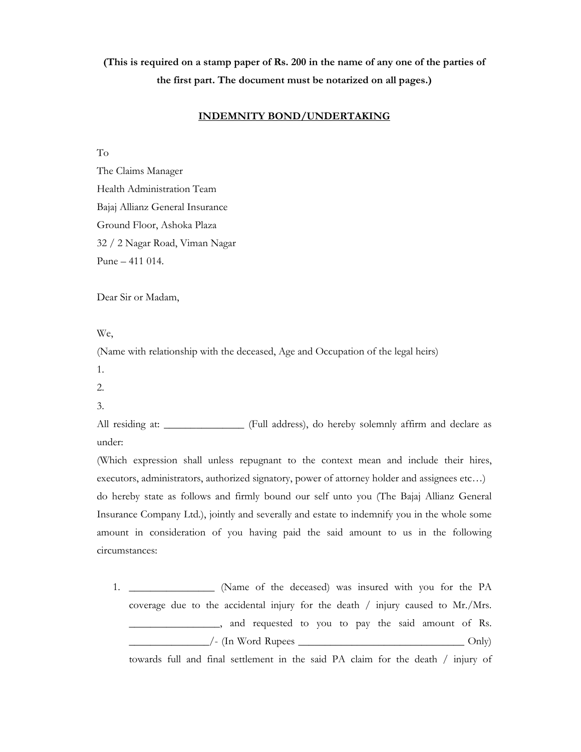## **(This is required on a stamp paper of Rs. 200 in the name of any one of the parties of the first part. The document must be notarized on all pages.)**

## **INDEMNITY BOND/UNDERTAKING**

To

The Claims Manager Health Administration Team Bajaj Allianz General Insurance Ground Floor, Ashoka Plaza 32 / 2 Nagar Road, Viman Nagar Pune – 411 014.

Dear Sir or Madam,

We,

(Name with relationship with the deceased, Age and Occupation of the legal heirs)

1.

- 2.
- 3.

All residing at: \_\_\_\_\_\_\_\_\_\_\_\_\_\_ (Full address), do hereby solemnly affirm and declare as under:

(Which expression shall unless repugnant to the context mean and include their hires, executors, administrators, authorized signatory, power of attorney holder and assignees etc…) do hereby state as follows and firmly bound our self unto you (The Bajaj Allianz General Insurance Company Ltd.), jointly and severally and estate to indemnify you in the whole some amount in consideration of you having paid the said amount to us in the following circumstances:

1. \_\_\_\_\_\_\_\_\_\_\_\_\_\_\_\_ (Name of the deceased) was insured with you for the PA coverage due to the accidental injury for the death / injury caused to Mr./Mrs. and requested to you to pay the said amount of Rs.  $\angle$  (In Word Rupees  $\angle$ 

towards full and final settlement in the said PA claim for the death / injury of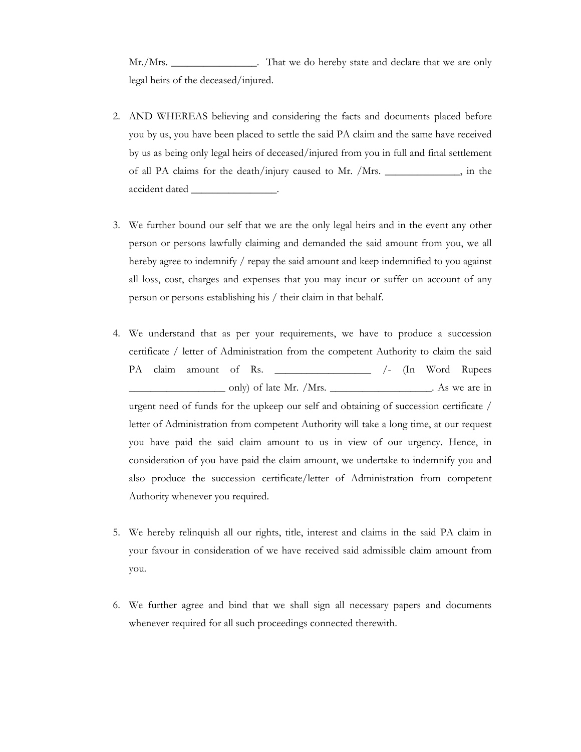Mr./Mrs. \_\_\_\_\_\_\_\_\_\_\_\_\_\_\_. That we do hereby state and declare that we are only legal heirs of the deceased/injured.

- 2. AND WHEREAS believing and considering the facts and documents placed before you by us, you have been placed to settle the said PA claim and the same have received by us as being only legal heirs of deceased/injured from you in full and final settlement of all PA claims for the death/injury caused to Mr. /Mrs. \_\_\_\_\_\_\_\_\_\_\_\_\_\_, in the accident dated
- 3. We further bound our self that we are the only legal heirs and in the event any other person or persons lawfully claiming and demanded the said amount from you, we all hereby agree to indemnify / repay the said amount and keep indemnified to you against all loss, cost, charges and expenses that you may incur or suffer on account of any person or persons establishing his / their claim in that behalf.
- 4. We understand that as per your requirements, we have to produce a succession certificate / letter of Administration from the competent Authority to claim the said PA claim amount of Rs. \_\_\_\_\_\_\_\_\_\_\_\_\_\_\_ /- (In Word Rupees only) of late Mr. /Mrs. \_\_\_\_\_\_\_\_\_\_\_\_\_\_\_\_\_\_\_. As we are in urgent need of funds for the upkeep our self and obtaining of succession certificate / letter of Administration from competent Authority will take a long time, at our request you have paid the said claim amount to us in view of our urgency. Hence, in consideration of you have paid the claim amount, we undertake to indemnify you and also produce the succession certificate/letter of Administration from competent Authority whenever you required.
- 5. We hereby relinquish all our rights, title, interest and claims in the said PA claim in your favour in consideration of we have received said admissible claim amount from you.
- 6. We further agree and bind that we shall sign all necessary papers and documents whenever required for all such proceedings connected therewith.